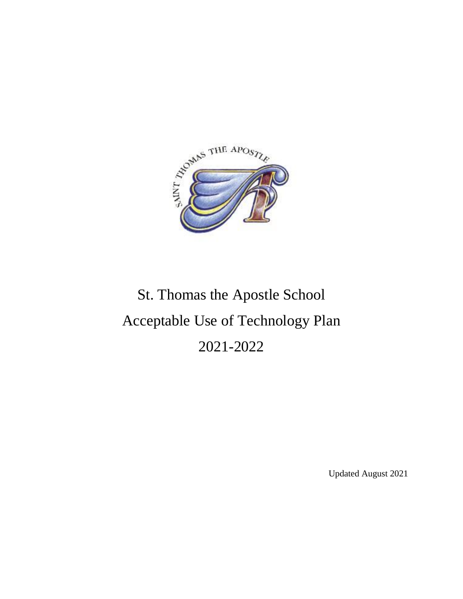

# St. Thomas the Apostle School Acceptable Use of Technology Plan 2021-2022

Updated August 2021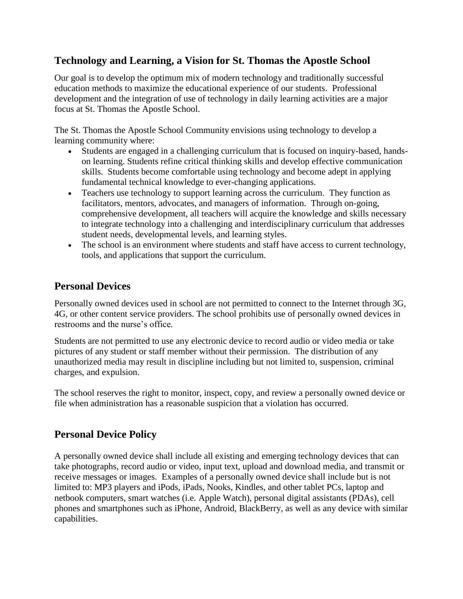## **Technology and Learning, a Vision for St. Thomas the Apostle School**

Our goal is to develop the optimum mix of modern technology and traditionally successful education methods to maximize the educational experience of our students. Professional development and the integration of use of technology in daily learning activities are a major focus at St. Thomas the Apostle School.

The St. Thomas the Apostle School Community envisions using technology to develop a learning community where:

- Students are engaged in a challenging curriculum that is focused on inquiry-based, handson learning. Students refine critical thinking skills and develop effective communication skills. Students become comfortable using technology and become adept in applying fundamental technical knowledge to ever-changing applications.
- Teachers use technology to support learning across the curriculum. They function as facilitators, mentors, advocates, and managers of information. Through on-going, comprehensive development, all teachers will acquire the knowledge and skills necessary to integrate technology into a challenging and interdisciplinary curriculum that addresses student needs, developmental levels, and learning styles.
- The school is an environment where students and staff have access to current technology, tools, and applications that support the curriculum.

## **Personal Devices**

Personally owned devices used in school are not permitted to connect to the Internet through 3G, 4G, or other content service providers. The school prohibits use of personally owned devices in restrooms and the nurse's office.

Students are not permitted to use any electronic device to record audio or video media or take pictures of any student or staff member without their permission. The distribution of any unauthorized media may result in discipline including but not limited to, suspension, criminal charges, and expulsion.

The school reserves the right to monitor, inspect, copy, and review a personally owned device or file when administration has a reasonable suspicion that a violation has occurred.

#### **Personal Device Policy**

A personally owned device shall include all existing and emerging technology devices that can take photographs, record audio or video, input text, upload and download media, and transmit or receive messages or images. Examples of a personally owned device shall include but is not limited to: MP3 players and iPods, iPads, Nooks, Kindles, and other tablet PCs, laptop and netbook computers, smart watches (i.e. Apple Watch), personal digital assistants (PDAs), cell phones and smartphones such as iPhone, Android, BlackBerry, as well as any device with similar capabilities.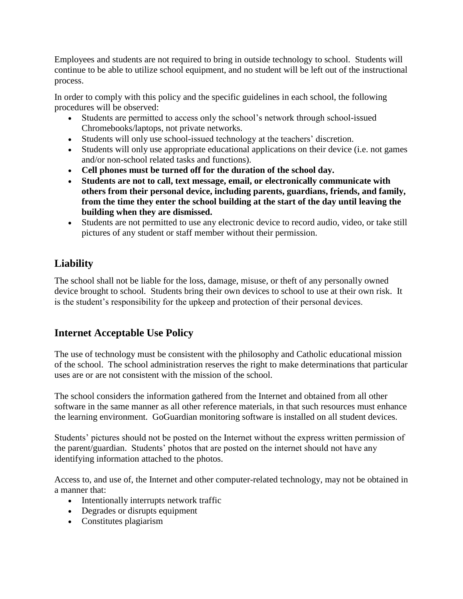Employees and students are not required to bring in outside technology to school. Students will continue to be able to utilize school equipment, and no student will be left out of the instructional process.

In order to comply with this policy and the specific guidelines in each school, the following procedures will be observed:

- Students are permitted to access only the school's network through school-issued Chromebooks/laptops, not private networks.
- Students will only use school-issued technology at the teachers' discretion.
- Students will only use appropriate educational applications on their device (i.e. not games and/or non-school related tasks and functions).
- **Cell phones must be turned off for the duration of the school day.**
- **Students are not to call, text message, email, or electronically communicate with others from their personal device, including parents, guardians, friends, and family, from the time they enter the school building at the start of the day until leaving the building when they are dismissed.**
- Students are not permitted to use any electronic device to record audio, video, or take still pictures of any student or staff member without their permission.

# **Liability**

The school shall not be liable for the loss, damage, misuse, or theft of any personally owned device brought to school. Students bring their own devices to school to use at their own risk. It is the student's responsibility for the upkeep and protection of their personal devices.

## **Internet Acceptable Use Policy**

The use of technology must be consistent with the philosophy and Catholic educational mission of the school. The school administration reserves the right to make determinations that particular uses are or are not consistent with the mission of the school.

The school considers the information gathered from the Internet and obtained from all other software in the same manner as all other reference materials, in that such resources must enhance the learning environment. GoGuardian monitoring software is installed on all student devices.

Students' pictures should not be posted on the Internet without the express written permission of the parent/guardian. Students' photos that are posted on the internet should not have any identifying information attached to the photos.

Access to, and use of, the Internet and other computer-related technology, may not be obtained in a manner that:

- Intentionally interrupts network traffic
- Degrades or disrupts equipment
- Constitutes plagiarism